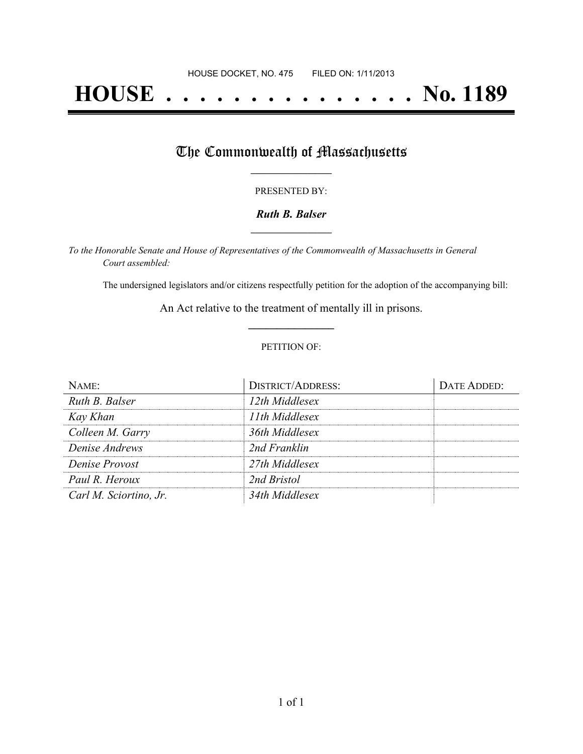# **HOUSE . . . . . . . . . . . . . . . No. 1189**

## The Commonwealth of Massachusetts

#### PRESENTED BY:

#### *Ruth B. Balser* **\_\_\_\_\_\_\_\_\_\_\_\_\_\_\_\_\_**

*To the Honorable Senate and House of Representatives of the Commonwealth of Massachusetts in General Court assembled:*

The undersigned legislators and/or citizens respectfully petition for the adoption of the accompanying bill:

An Act relative to the treatment of mentally ill in prisons. **\_\_\_\_\_\_\_\_\_\_\_\_\_\_\_**

#### PETITION OF:

| NAME:                  | <b>DISTRICT/ADDRESS:</b> | DATE ADDED: |
|------------------------|--------------------------|-------------|
| Ruth B. Balser         | 12th Middlesex           |             |
| Kay Khan               | 11th Middlesex           |             |
| Colleen M. Garry       | 36th Middlesex           |             |
| Denise Andrews         | 2nd Franklin             |             |
| Denise Provost         | 27th Middlesex           |             |
| Paul R. Heroux         | 2nd Bristol              |             |
| Carl M. Sciortino, Jr. | 34th Middlesex           |             |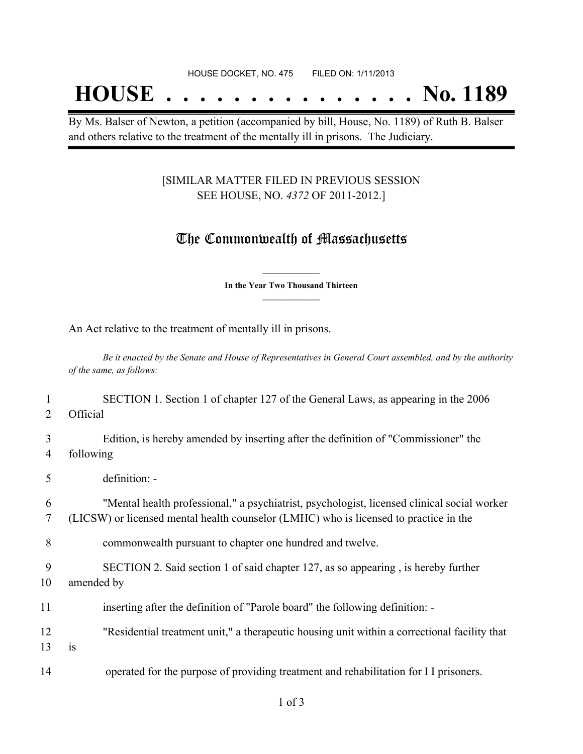## **HOUSE . . . . . . . . . . . . . . . No. 1189**

By Ms. Balser of Newton, a petition (accompanied by bill, House, No. 1189) of Ruth B. Balser and others relative to the treatment of the mentally ill in prisons. The Judiciary.

#### [SIMILAR MATTER FILED IN PREVIOUS SESSION SEE HOUSE, NO. *4372* OF 2011-2012.]

### The Commonwealth of Massachusetts

**\_\_\_\_\_\_\_\_\_\_\_\_\_\_\_ In the Year Two Thousand Thirteen \_\_\_\_\_\_\_\_\_\_\_\_\_\_\_**

An Act relative to the treatment of mentally ill in prisons.

Be it enacted by the Senate and House of Representatives in General Court assembled, and by the authority *of the same, as follows:*

 SECTION 1. Section 1 of chapter 127 of the General Laws, as appearing in the 2006 2 Official Edition, is hereby amended by inserting after the definition of "Commissioner" the following definition: - "Mental health professional," a psychiatrist, psychologist, licensed clinical social worker (LICSW) or licensed mental health counselor (LMHC) who is licensed to practice in the commonwealth pursuant to chapter one hundred and twelve. SECTION 2. Said section 1 of said chapter 127, as so appearing , is hereby further amended by inserting after the definition of "Parole board" the following definition: - "Residential treatment unit," a therapeutic housing unit within a correctional facility that  $13$  is operated for the purpose of providing treatment and rehabilitation for I I prisoners.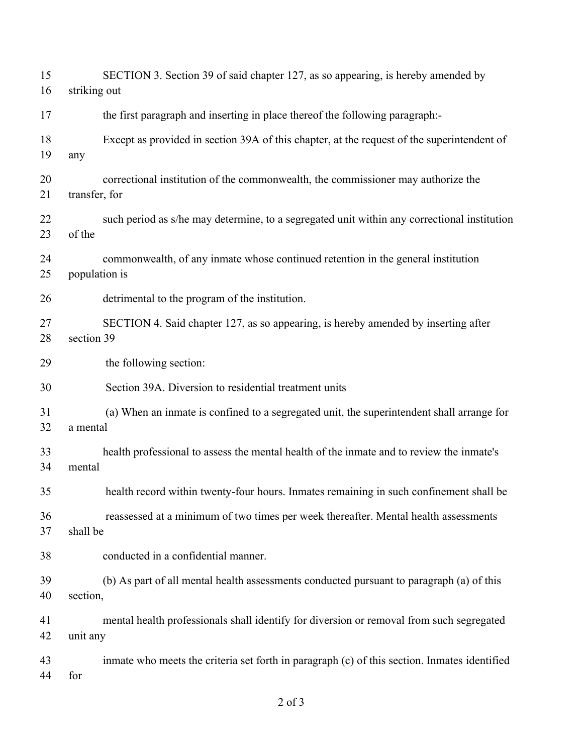| 15 | SECTION 3. Section 39 of said chapter 127, as so appearing, is hereby amended by             |
|----|----------------------------------------------------------------------------------------------|
| 16 | striking out                                                                                 |
| 17 | the first paragraph and inserting in place thereof the following paragraph:-                 |
| 18 | Except as provided in section 39A of this chapter, at the request of the superintendent of   |
| 19 | any                                                                                          |
| 20 | correctional institution of the commonwealth, the commissioner may authorize the             |
| 21 | transfer, for                                                                                |
| 22 | such period as s/he may determine, to a segregated unit within any correctional institution  |
| 23 | of the                                                                                       |
| 24 | commonwealth, of any inmate whose continued retention in the general institution             |
| 25 | population is                                                                                |
| 26 | detrimental to the program of the institution.                                               |
| 27 | SECTION 4. Said chapter 127, as so appearing, is hereby amended by inserting after           |
| 28 | section 39                                                                                   |
| 29 | the following section:                                                                       |
| 30 | Section 39A. Diversion to residential treatment units                                        |
| 31 | (a) When an inmate is confined to a segregated unit, the superintendent shall arrange for    |
| 32 | a mental                                                                                     |
| 33 | health professional to assess the mental health of the inmate and to review the inmate's     |
| 34 | mental                                                                                       |
| 35 | health record within twenty-four hours. Inmates remaining in such confinement shall be       |
| 36 | reassessed at a minimum of two times per week thereafter. Mental health assessments          |
| 37 | shall be                                                                                     |
| 38 | conducted in a confidential manner.                                                          |
| 39 | (b) As part of all mental health assessments conducted pursuant to paragraph (a) of this     |
| 40 | section,                                                                                     |
| 41 | mental health professionals shall identify for diversion or removal from such segregated     |
| 42 | unit any                                                                                     |
| 43 | inmate who meets the criteria set forth in paragraph (c) of this section. Inmates identified |
| 44 | for                                                                                          |
|    |                                                                                              |

of 3